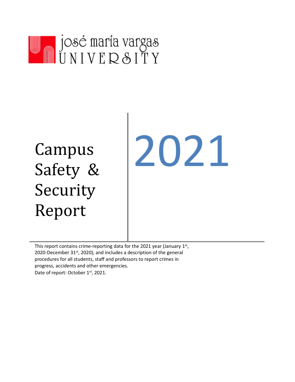

# Campus Safety & Security Report

2021

This report contains crime-reporting data for the 2021 year (January 1st, 2020-December 31<sup>st</sup>, 2020), and includes a description of the general procedures for all students, staff and professors to report crimes in progress, accidents and other emergencies. Date of report: October 1<sup>st</sup>, 2021.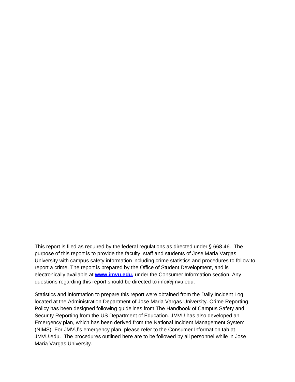This report is filed as required by the federal regulations as directed under § 668.46. The purpose of this report is to provide the faculty, staff and students of Jose Maria Vargas University with campus safety information including crime statistics and procedures to follow to report a crime. The report is prepared by the Office of Student Development, and is electronically available at **[www.jmvu.edu,](http://www.fredonia.edu/upd/campussafety.asp)** under the Consumer Information section. Any questions regarding this report should be directed [to info@jmvu.edu.](mailto:info@jmvu.edu)

Statistics and information to prepare this report were obtained from the Daily Incident Log, located at the Administration Department of Jose Maria Vargas University. Crime Reporting Policy has been designed following guidelines from The Handbook of Campus Safety and Security Reporting from the US Department of Education. JMVU has also developed an Emergency plan, which has been derived from the National Incident Management System (NIMS). For JMVU's emergency plan, please refer to the Consumer Information tab at JMVU.edu. The procedures outlined here are to be followed by all personnel while in Jose Maria Vargas University.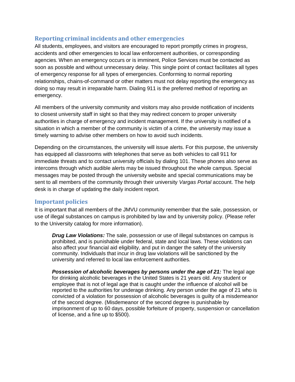# **Reporting criminal incidents and other emergencies**

All students, employees, and visitors are encouraged to report promptly crimes in progress, accidents and other emergencies to local law enforcement authorities, or corresponding agencies. When an emergency occurs or is imminent, Police Services must be contacted as soon as possible and without unnecessary delay. This single point of contact facilitates all types of emergency response for all types of emergencies. Conforming to normal reporting relationships, chains-of-command or other matters must not delay reporting the emergency as doing so may result in irreparable harm. Dialing 911 is the preferred method of reporting an emergency.

All members of the university community and visitors may also provide notification of incidents to closest university staff in sight so that they may redirect concern to proper university authorities in charge of emergency and incident management. If the university is notified of a situation in which a member of the community is victim of a crime, the university may issue a timely warning to advise other members on how to avoid such incidents.

Depending on the circumstances, the university will issue alerts. For this purpose, the university has equipped all classrooms with telephones that serve as both vehicles to call 911 for immediate threats and to contact university officials by dialing 101. These phones also serve as intercoms through which audible alerts may be issued throughout the whole campus. Special messages may be posted through the university website and special communications may be sent to all members of the community through their university *Vargas Portal* account. The help desk is in charge of updating the daily incident report.

# **Important policies**

It is important that all members of the JMVU community remember that the sale, possession, or use of illegal substances on campus is prohibited by law and by university policy. (Please refer to the University catalog for more information).

*Drug Law Violations:* The sale, possession or use of illegal substances on campus is prohibited, and is punishable under federal, state and local laws. These violations can also affect your financial aid eligibility, and put in danger the safety of the university community. Individuals that incur in drug law violations will be sanctioned by the university and referred to local law enforcement authorities.

*Possession of alcoholic beverages by persons under the age of 21:* The legal age for drinking alcoholic beverages in the United States is 21 years old. Any student or employee that is not of legal age that is caught under the influence of alcohol will be reported to the authorities for underage drinking. Any person under the age of 21 who is convicted of a violation for possession of alcoholic beverages is guilty of a misdemeanor of the second degree. (Misdemeanor of the second degree is punishable by imprisonment of up to 60 days, possible forfeiture of property, suspension or cancellation of license, and a fine up to \$500).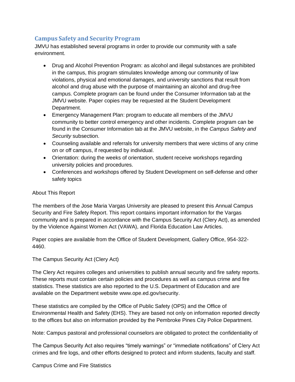# **Campus Safety and Security Program**

JMVU has established several programs in order to provide our community with a safe environment.

- Drug and Alcohol Prevention Program: as alcohol and illegal substances are prohibited in the campus, this program stimulates knowledge among our community of law violations, physical and emotional damages, and university sanctions that result from alcohol and drug abuse with the purpose of maintaining an alcohol and drug-free campus. Complete program can be found under the Consumer Information tab at the JMVU website. Paper copies may be requested at the Student Development Department.
- Emergency Management Plan: program to educate all members of the JMVU community to better control emergency and other incidents. Complete program can be found in the Consumer Information tab at the JMVU website, in the *Campus Safety and Security* subsection.
- Counseling available and referrals for university members that were victims of any crime on or off campus, if requested by individual.
- Orientation: during the weeks of orientation, student receive workshops regarding university policies and procedures.
- Conferences and workshops offered by Student Development on self-defense and other safety topics

## About This Report

The members of the Jose Maria Vargas University are pleased to present this Annual Campus Security and Fire Safety Report. This report contains important information for the Vargas community and is prepared in accordance with the Campus Security Act (Clery Act), as amended by the Violence Against Women Act (VAWA), and Florida Education Law Articles.

Paper copies are available from the Office of Student Development, Gallery Office, 954-322- 4460.

## The Campus Security Act (Clery Act)

The Clery Act requires colleges and universities to publish annual security and fire safety reports. These reports must contain certain policies and procedures as well as campus crime and fire statistics. These statistics are also reported to the U.S. Department of Education and are available on the Department website www.ope.ed.gov/security.

These statistics are compiled by the Office of Public Safety (OPS) and the Office of Environmental Health and Safety (EHS). They are based not only on information reported directly to the offices but also on information provided by the Pembroke Pines City Police Department.

Note: Campus pastoral and professional counselors are obligated to protect the confidentiality of

The Campus Security Act also requires "timely warnings" or "immediate notifications" of Clery Act crimes and fire logs, and other efforts designed to protect and inform students, faculty and staff.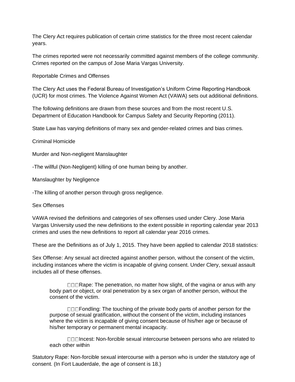The Clery Act requires publication of certain crime statistics for the three most recent calendar years.

The crimes reported were not necessarily committed against members of the college community. Crimes reported on the campus of Jose Maria Vargas University.

Reportable Crimes and Offenses

The Clery Act uses the Federal Bureau of Investigation's Uniform Crime Reporting Handbook (UCR) for most crimes. The Violence Against Women Act (VAWA) sets out additional definitions.

The following definitions are drawn from these sources and from the most recent U.S. Department of Education Handbook for Campus Safety and Security Reporting (2011).

State Law has varying definitions of many sex and gender-related crimes and bias crimes.

Criminal Homicide

Murder and Non-negligent Manslaughter

-The willful (Non-Negligent) killing of one human being by another.

Manslaughter by Negligence

-The killing of another person through gross negligence.

Sex Offenses

VAWA revised the definitions and categories of sex offenses used under Clery. Jose Maria Vargas University used the new definitions to the extent possible in reporting calendar year 2013 crimes and uses the new definitions to report all calendar year 2016 crimes.

These are the Definitions as of July 1, 2015. They have been applied to calendar 2018 statistics:

Sex Offense: Any sexual act directed against another person, without the consent of the victim, including instances where the victim is incapable of giving consent. Under Clery, sexual assault includes all of these offenses.

□□□Rape: The penetration, no matter how slight, of the vagina or anus with any body part or object, or oral penetration by a sex organ of another person, without the consent of the victim.

**Fondling:** The touching of the private body parts of another person for the purpose of sexual gratification, without the consent of the victim, including instances where the victim is incapable of giving consent because of his/her age or because of his/her temporary or permanent mental incapacity.

□□□ Incest: Non-forcible sexual intercourse between persons who are related to each other within

Statutory Rape: Non-forcible sexual intercourse with a person who is under the statutory age of consent. (In Fort Lauderdale, the age of consent is 18.)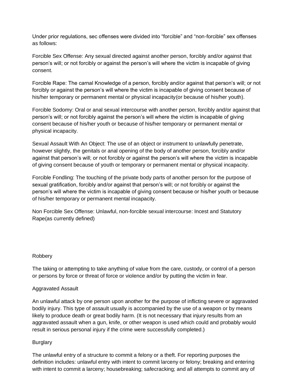Under prior regulations, sec offenses were divided into "forcible" and "non-forcible" sex offenses as follows:

Forcible Sex Offense: Any sexual directed against another person, forcibly and/or against that person's will; or not forcibly or against the person's will where the victim is incapable of giving consent.

Forcible Rape: The carnal Knowledge of a person, forcibly and/or against that person's will; or not forcibly or against the person's will where the victim is incapable of giving consent because of his/her temporary or permanent mental or physical incapacity(or because of his/her youth).

Forcible Sodomy: Oral or anal sexual intercourse with another person, forcibly and/or against that person's will; or not forcibly against the person's will where the victim is incapable of giving consent because of his/her youth or because of his/her temporary or permanent mental or physical incapacity.

Sexual Assault With An Object: The use of an object or instrument to unlawfully penetrate, however slightly, the genitals or anal opening of the body of another person, forcibly and/or against that person's will; or not forcibly or against the person's will where the victim is incapable of giving consent because of youth or temporary or permanent mental or physical incapacity.

Forcible Fondling: The touching of the private body parts of another person for the purpose of sexual gratification, forcibly and/or against that person's will; or not forcibly or against the person's will where the victim is incapable of giving consent because or his/her youth or because of his/her temporary or permanent mental incapacity.

Non Forcible Sex Offense: Unlawful, non-forcible sexual intercourse: Incest and Statutory Rape(as currently defined)

## Robbery

The taking or attempting to take anything of value from the care, custody, or control of a person or persons by force or threat of force or violence and/or by putting the victim in fear.

#### Aggravated Assault

An unlawful attack by one person upon another for the purpose of inflicting severe or aggravated bodily injury. This type of assault usually is accompanied by the use of a weapon or by means likely to produce death or great bodily harm. (It is not necessary that injury results from an aggravated assault when a gun, knife, or other weapon is used which could and probably would result in serious personal injury if the crime were successfully completed.)

## **Burglary**

The unlawful entry of a structure to commit a felony or a theft. For reporting purposes the definition includes: unlawful entry with intent to commit larceny or felony; breaking and entering with intent to commit a larceny; housebreaking; safecracking; and all attempts to commit any of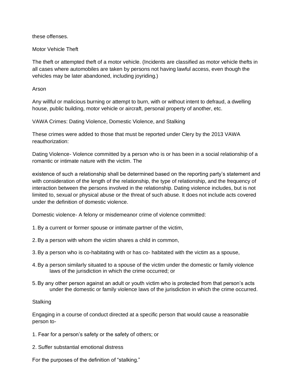these offenses.

Motor Vehicle Theft

The theft or attempted theft of a motor vehicle. (Incidents are classified as motor vehicle thefts in all cases where automobiles are taken by persons not having lawful access, even though the vehicles may be later abandoned, including joyriding.)

Arson

Any willful or malicious burning or attempt to burn, with or without intent to defraud, a dwelling house, public building, motor vehicle or aircraft, personal property of another, etc.

VAWA Crimes: Dating Violence, Domestic Violence, and Stalking

These crimes were added to those that must be reported under Clery by the 2013 VAWA reauthorization:

Dating Violence- Violence committed by a person who is or has been in a social relationship of a romantic or intimate nature with the victim. The

existence of such a relationship shall be determined based on the reporting party's statement and with consideration of the length of the relationship, the type of relationship, and the frequency of interaction between the persons involved in the relationship. Dating violence includes, but is not limited to, sexual or physical abuse or the threat of such abuse. It does not include acts covered under the definition of domestic violence.

Domestic violence- A felony or misdemeanor crime of violence committed:

- 1.By a current or former spouse or intimate partner of the victim,
- 2.By a person with whom the victim shares a child in common,
- 3.By a person who is co-habitating with or has co- habitated with the victim as a spouse,
- 4.By a person similarly situated to a spouse of the victim under the domestic or family violence laws of the jurisdiction in which the crime occurred; or
- 5.By any other person against an adult or youth victim who is protected from that person's acts under the domestic or family violence laws of the jurisdiction in which the crime occurred.

**Stalking** 

Engaging in a course of conduct directed at a specific person that would cause a reasonable person to-

- 1. Fear for a person's safety or the safety of others; or
- 2. Suffer substantial emotional distress

For the purposes of the definition of "stalking."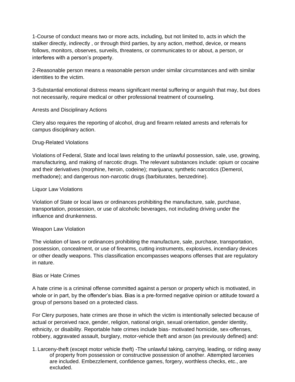1-Course of conduct means two or more acts, including, but not limited to, acts in which the stalker directly, indirectly , or through third parties, by any action, method, device, or means follows, monitors, observes, surveils, threatens, or communicates to or about, a person, or interferes with a person's property.

2-Reasonable person means a reasonable person under similar circumstances and with similar identities to the victim.

3-Substantial emotional distress means significant mental suffering or anguish that may, but does not necessarily, require medical or other professional treatment of counseling.

## Arrests and Disciplinary Actions

Clery also requires the reporting of alcohol, drug and firearm related arrests and referrals for campus disciplinary action.

## Drug-Related Violations

Violations of Federal, State and local laws relating to the unlawful possession, sale, use, growing, manufacturing, and making of narcotic drugs. The relevant substances include: opium or cocaine and their derivatives (morphine, heroin, codeine); marijuana; synthetic narcotics (Demerol, methadone); and dangerous non-narcotic drugs (barbiturates, benzedrine).

## Liquor Law Violations

Violation of State or local laws or ordinances prohibiting the manufacture, sale, purchase, transportation, possession, or use of alcoholic beverages, not including driving under the influence and drunkenness.

## Weapon Law Violation

The violation of laws or ordinances prohibiting the manufacture, sale, purchase, transportation, possession, concealment, or use of firearms, cutting instruments, explosives, incendiary devices or other deadly weapons. This classification encompasses weapons offenses that are regulatory in nature.

## Bias or Hate Crimes

A hate crime is a criminal offense committed against a person or property which is motivated, in whole or in part, by the offender's bias. Bias is a pre-formed negative opinion or attitude toward a group of persons based on a protected class.

For Clery purposes, hate crimes are those in which the victim is intentionally selected because of actual or perceived race, gender, religion, national origin, sexual orientation, gender identity, ethnicity, or disability. Reportable hate crimes include bias- motivated homicide, sex-offenses, robbery, aggravated assault, burglary, motor-vehicle theft and arson (as previously defined) and:

1. Larceny-theft (except motor vehicle theft) -The unlawful taking, carrying, leading, or riding away of property from possession or constructive possession of another. Attempted larcenies are included. Embezzlement, confidence games, forgery, worthless checks, etc., are excluded.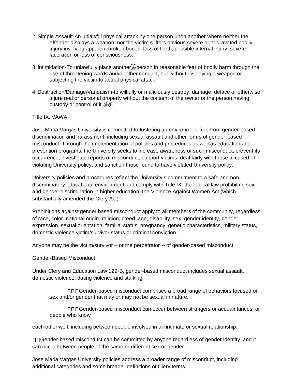- 2.Simple Assault-An unlawful physical attack by one person upon another where neither the offender displays a weapon, nor the victim suffers obvious severe or aggravated bodily injury involving apparent broken bones, loss of teeth, possible internal injury, severe laceration or loss of consciousness.
- 3. Intimidation-To unlawfully place another  $\widetilde{F}_{\text{EP}}$  person in reasonable fear of bodily harm through the use of threatening words and/or other conduct, but without displaying a weapon or subjecting the victim to actual physical attack.
- 4. Destruction/Damage/Vandalism-to willfully or maliciously destroy, damage, deface or otherwise injure real or personal property without the consent of the owner or the person having custody or control of it. 6

## Title IX, VAWA

Jose Maria Vargas University is committed to fostering an environment free from gender-based discrimination and harassment, including sexual assault and other forms of gender-based misconduct. Through the implementation of policies and procedures as well as education and prevention programs, the University seeks to increase awareness of such misconduct, prevent its occurrence, investigate reports of misconduct, support victims, deal fairly with those accused of violating University policy, and sanction those found to have violated University policy.

University policies and procedures reflect the University's commitment to a safe and nondiscriminatory educational environment and comply with Title IX, the federal law prohibiting sex and gender discrimination in higher education, the Violence Against Women Act (which substantially amended the Clery Act).

Prohibitions against gender based misconduct apply to all members of the community, regardless of race, color, national origin, religion, creed, age, disability, sex, gender identity, gender expression, sexual orientation, familial status, pregnancy, genetic characteristics, military status, domestic violence victim/survivor status or criminal conviction.

Anyone may be the victim/survivor – or the perpetrator -- of gender-based misconduct.

## Gender-Based Misconduct

Under Clery and Education Law 129-B, gender-based misconduct includes sexual assault, domestic violence, dating violence and stalking.

**DIDGender-based misconduct comprises a broad range of behaviors focused on** sex and/or gender that may or may not be sexual in nature.

□□□Gender-based misconduct can occur between strangers or acquaintances, or people who know

each other well, including between people involved in an intimate or sexual relationship.

□□Gender-based misconduct can be committed by anyone regardless of gender identity, and it can occur between people of the same or different sex or gender.

Jose Maria Vargas University policies address a broader range of misconduct, including additional categories and some broader definitions of Clery terms.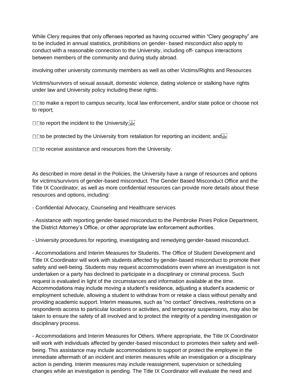While Clery requires that only offenses reported as having occurred within "Clery geography" are to be included in annual statistics, prohibitions on gender- based misconduct also apply to conduct with a reasonable connection to the University, including off- campus interactions between members of the community and during study abroad.

involving other university community members as well as other Victims/Rights and Resources

Victims/survivors of sexual assault, domestic violence, dating violence or stalking have rights under law and University policy including these rights:

 $\Box$  To make a report to campus security, local law enforcement, and/or state police or choose not to report;

 $\Box$  The report the incident to the University;  $\overline{\mathbf{S}_{\text{EPI}}}$ 

 $\Box$  To be protected by the University from retaliation for reporting an incident; and  $\overline{\mathbb{R}}$ 

 $\Box$  The receive assistance and resources from the University.

As described in more detail in the Policies, the University have a range of resources and options for victims/survivors of gender-based misconduct. The Gender Based Misconduct Office and the Title IX Coordinator, as well as more confidential resources can provide more details about these resources and options, including:

- Confidential Advocacy, Counseling and Healthcare services

- Assistance with reporting gender-based misconduct to the Pembroke Pines Police Department, the District Attorney's Office, or other appropriate law enforcement authorities.

- University procedures for reporting, investigating and remedying gender-based misconduct.

- Accommodations and Interim Measures for Students. The Office of Student Development and Title IX Coordinator will work with students affected by gender-based misconduct to promote their safety and well-being. Students may request accommodations even where an investigation is not undertaken or a party has declined to participate in a disciplinary or criminal process. Such request is evaluated in light of the circumstances and information available at the time. Accommodations may include moving a student's residence, adjusting a student's academic or employment schedule, allowing a student to withdraw from or retake a class without penalty and providing academic support. Interim measures, such as "no contact" directives, restrictions on a respondents access to particular locations or activities, and temporary suspensions, may also be taken to ensure the safety of all involved and to protect the integrity of a pending investigation or disciplinary process.

- Accommodations and Interim Measures for Others. Where appropriate, the Title IX Coordinator will work with individuals affected by gender-based misconduct to promotes their safety and wellbeing. This assistance may include accommodations to support or protect the employee in the immediate aftermath of an incident and interim measures while an investigation or a disciplinary action is pending. Interim measures may include reassignment, supervision or scheduling changes while an investigation is pending. The Title IX Coordinator will evaluate the need and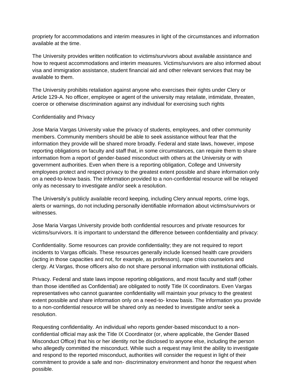propriety for accommodations and interim measures in light of the circumstances and information available at the time.

The University provides written notification to victims/survivors about available assistance and how to request accommodations and interim measures. Victims/survivors are also informed about visa and immigration assistance, student financial aid and other relevant services that may be available to them.

The University prohibits retaliation against anyone who exercises their rights under Clery or Article 129-A. No officer, employee or agent of the university may retaliate, intimidate, threaten, coerce or otherwise discrimination against any individual for exercising such rights

## Confidentiality and Privacy

Jose Maria Vargas University value the privacy of students, employees, and other community members. Community members should be able to seek assistance without fear that the information they provide will be shared more broadly. Federal and state laws, however, impose reporting obligations on faculty and staff that, in some circumstances, can require them to share information from a report of gender-based misconduct with others at the University or with government authorities. Even when there is a reporting obligation, College and University employees protect and respect privacy to the greatest extent possible and share information only on a need-to-know basis. The information provided to a non-confidential resource will be relayed only as necessary to investigate and/or seek a resolution.

The University's publicly available record keeping, including Clery annual reports, crime logs, alerts or warnings, do not including personally identifiable information about victims/survivors or witnesses.

Jose Maria Vargas University provide both confidential resources and private resources for victims/survivors. It is important to understand the difference between confidentiality and privacy:

Confidentiality. Some resources can provide confidentiality; they are not required to report incidents to Vargas officials. These resources generally include licensed health care providers (acting in those capacities and not, for example, as professors), rape crisis counselors and clergy. At Vargas, those officers also do not share personal information with institutional officials.

Privacy. Federal and state laws impose reporting obligations, and most faculty and staff (other than those identified as Confidential) are obligated to notify Title IX coordinators. Even Vargas representatives who cannot guarantee confidentiality will maintain your privacy to the greatest extent possible and share information only on a need-to- know basis. The information you provide to a non-confidential resource will be shared only as needed to investigate and/or seek a resolution.

Requesting confidentiality. An individual who reports gender-based misconduct to a nonconfidential official may ask the Title IX Coordinator (or, where applicable, the Gender Based Misconduct Office) that his or her identity not be disclosed to anyone else, including the person who allegedly committed the misconduct. While such a request may limit the ability to investigate and respond to the reported misconduct, authorities will consider the request in light of their commitment to provide a safe and non- discriminatory environment and honor the request when possible.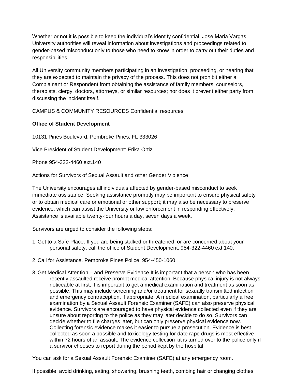Whether or not it is possible to keep the individual's identity confidential, Jose Maria Vargas University authorities will reveal information about investigations and proceedings related to gender-based misconduct only to those who need to know in order to carry out their duties and responsibilities.

All University community members participating in an investigation, proceeding, or hearing that they are expected to maintain the privacy of the process. This does not prohibit either a Complainant or Respondent from obtaining the assistance of family members, counselors, therapists, clergy, doctors, attorneys, or similar resources; nor does it prevent either party from discussing the incident itself.

CAMPUS & COMMUNITY RESOURCES Confidential resources

## **Office of Student Development**

10131 Pines Boulevard, Pembroke Pines, FL 333026

Vice President of Student Development: Erika Ortiz

Phone 954-322-4460 ext.140

Actions for Survivors of Sexual Assault and other Gender Violence:

The University encourages all individuals affected by gender-based misconduct to seek immediate assistance. Seeking assistance promptly may be important to ensure physical safety or to obtain medical care or emotional or other support; it may also be necessary to preserve evidence, which can assist the University or law enforcement in responding effectively. Assistance is available twenty-four hours a day, seven days a week.

Survivors are urged to consider the following steps:

- 1.Get to a Safe Place. If you are being stalked or threatened, or are concerned about your personal safety, call the office of Student Development. 954-322-4460 ext.140.
- 2. Call for Assistance. Pembroke Pines Police. 954-450-1060.
- 3.Get Medical Attention and Preserve Evidence It is important that a person who has been recently assaulted receive prompt medical attention. Because physical injury is not always noticeable at first, it is important to get a medical examination and treatment as soon as possible. This may include screening and/or treatment for sexually transmitted infection and emergency contraception, if appropriate. A medical examination, particularly a free examination by a Sexual Assault Forensic Examiner (SAFE) can also preserve physical evidence. Survivors are encouraged to have physical evidence collected even if they are unsure about reporting to the police as they may later decide to do so. Survivors can decide whether to file charges later, but can only preserve physical evidence now. Collecting forensic evidence makes it easier to pursue a prosecution. Evidence is best collected as soon a possible and toxicology testing for date rape drugs is most effective within 72 hours of an assault. The evidence collection kit is turned over to the police only if a survivor chooses to report during the period kept by the hospital.

You can ask for a Sexual Assault Forensic Examiner (SAFE) at any emergency room.

If possible, avoid drinking, eating, showering, brushing teeth, combing hair or changing clothes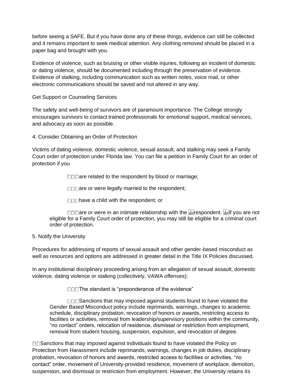before seeing a SAFE. But if you have done any of these things, evidence can still be collected and it remains important to seek medical attention. Any clothing removed should be placed in a paper bag and brought with you.

Evidence of violence, such as bruising or other visible injuries, following an incident of domestic or dating violence, should be documented including through the preservation of evidence. Evidence of stalking, including communication such as written notes, voice mail, or other electronic communications should be saved and not altered in any way.

Get Support or Counseling Services

The safety and well-being of survivors are of paramount importance. The College strongly encourages survivors to contact trained professionals for emotional support, medical services, and advocacy as soon as possible.

4. Consider Obtaining an Order of Protection

Victims of dating violence, domestic violence, sexual assault, and stalking may seek a Family Court order of protection under Florida law. You can file a petition in Family Court for an order of protection if you

 $\square \square \square$  are related to the respondent by blood or marriage;

 $\square \square \square$  are or were legally married to the respondent;

 $\square \square \square$  have a child with the respondent; or

 $\Box$  $\Box$ are or were in an intimate relationship with the  $\Box$  respondent.  $\Box$  you are not eligible for a Family Court order of protection, you may still be eligible for a criminal court order of protection.

#### 5. Notify the University

Procedures for addressing of reports of sexual assault and other gender-based misconduct as well as resources and options are addressed in greater detail in the Title IX Policies discussed.

In any institutional disciplinary proceeding arising from an allegation of sexual assault, domestic violence, dating violence or stalking (collectively, VAWA offenses):

□□□The standard is "preponderance of the evidence"

 $\Box$  $\Box$ Sanctions that may imposed against students found to have violated the Gender Based Misconduct policy include reprimands, warnings, changes to academic schedule, disciplinary probation, revocation of honors or awards, restricting access to facilities or activities, removal from leadership/supervisory positions within the community, "no contact" orders, relocation of residence, dismissal or restriction from employment, removal from student housing, suspension, expulsion, and revocation of degree.

 $\Box$  Sanctions that may imposed against individuals found to have violated the Policy on Protection from Harassment include reprimands, warnings, changes in job duties, disciplinary probation, revocation of honors and awards, restricted access to facilities or activities, "no contact" order, movement of University-provided residence, movement of workplace, demotion, suspension, and dismissal or restriction from employment. However, the University retains its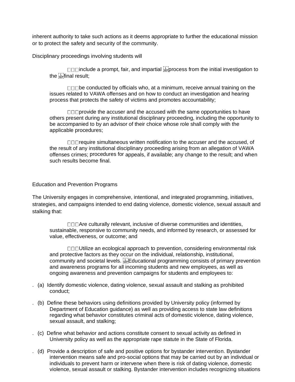inherent authority to take such actions as it deems appropriate to further the educational mission or to protect the safety and security of the community.

Disciplinary proceedings involving students will

 $\Box$  $\Box$ include a prompt, fair, and impartial  $\Box$ process from the initial investigation to the septinal result;

 $\Box\Box\Box$  be conducted by officials who, at a minimum, receive annual training on the issues related to VAWA offenses and on how to conduct an investigation and hearing process that protects the safety of victims and promotes accountability;

 $\Box$  $\Box$  $\Box$ provide the accuser and the accused with the same opportunities to have others present during any institutional disciplinary proceeding, including the opportunity to be accompanied to by an advisor of their choice whose role shall comply with the applicable procedures;

□□□ require simultaneous written notification to the accuser and the accused, of the result of any institutional disciplinary proceeding arising from an allegation of VAWA offenses crimes; procedures for appeals, if available; any change to the result; and when such results become final.

Education and Prevention Programs

The University engages in comprehensive, intentional, and integrated programming, initiatives, strategies, and campaigns intended to end dating violence, domestic violence, sexual assault and stalking that:

□□□Are culturally relevant, inclusive of diverse communities and identities, sustainable, responsive to community needs, and informed by research, or assessed for value, effectiveness, or outcome; and

□□□Utilize an ecological approach to prevention, considering environmental risk and protective factors as they occur on the individual, relationship, institutional, community and societal levels. Educational programming consists of primary prevention and awareness programs for all incoming students and new employees, as well as ongoing awareness and prevention campaigns for students and employees to:

- . (a) Identify domestic violence, dating violence, sexual assault and stalking as prohibited conduct;
- . (b) Define these behaviors using definitions provided by University policy (informed by Department of Education guidance) as well as providing access to state law definitions regarding what behavior constitutes criminal acts of domestic violence, dating violence, sexual assault, and stalking;
- . (c) Define what behavior and actions constitute consent to sexual activity as defined in University policy as well as the appropriate rape statute in the State of Florida.
- . (d) Provide a description of safe and positive options for bystander intervention. Bystander intervention means safe and pro-social options that may be carried out by an individual or individuals to prevent harm or intervene when there is risk of dating violence, domestic violence, sexual assault or stalking. Bystander intervention includes recognizing situations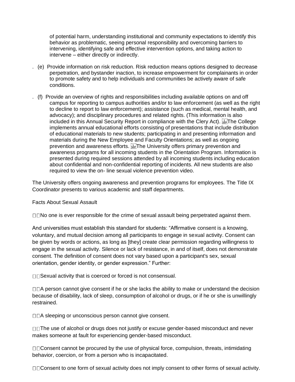of potential harm, understanding institutional and community expectations to identify this behavior as problematic, seeing personal responsibility and overcoming barriers to intervening, identifying safe and effective intervention options, and taking action to intervene – either directly or indirectly.

- . (e) Provide information on risk reduction. Risk reduction means options designed to decrease perpetration, and bystander inaction, to increase empowerment for complainants in order to promote safety and to help individuals and communities be actively aware of safe conditions.
- . (f) Provide an overview of rights and responsibilities including available options on and off campus for reporting to campus authorities and/or to law enforcement (as well as the right to decline to report to law enforcement); assistance (such as medical, mental health, and advocacy); and disciplinary procedures and related rights. (This information is also included in this Annual Security Report in compliance with the Clery Act). Fight are College implements annual educational efforts consisting of presentations that include distribution of educational materials to new students; participating in and presenting information and materials during the New Employee and Faculty Orientations; as well as ongoing prevention and awareness efforts. Fight the University offers primary prevention and awareness programs for all incoming students in the Orientation Program. Information is presented during required sessions attended by all incoming students including education about confidential and non-confidential reporting of incidents. All new students are also required to view the on- line sexual violence prevention video.

The University offers ongoing awareness and prevention programs for employees. The Title IX Coordinator presents to various academic and staff departments.

#### Facts About Sexual Assault

 $\Box$ No one is ever responsible for the crime of sexual assault being perpetrated against them.

And universities must establish this standard for students: "Affirmative consent is a knowing, voluntary, and mutual decision among all participants to engage in sexual activity. Consent can be given by words or actions, as long as [they] create clear permission regarding willingness to engage in the sexual activity. Silence or lack of resistance, in and of itself, does not demonstrate consent. The definition of consent does not vary based upon a participant's sex, sexual orientation, gender identity, or gender expression." Further:

□□ Sexual activity that is coerced or forced is not consensual.

 $\Box\Box A$  person cannot give consent if he or she lacks the ability to make or understand the decision because of disability, lack of sleep, consumption of alcohol or drugs, or if he or she is unwillingly restrained.

□□A sleeping or unconscious person cannot give consent.

□□The use of alcohol or drugs does not justify or excuse gender-based misconduct and never makes someone at fault for experiencing gender-based misconduct.

 $\Box$  Consent cannot be procured by the use of physical force, compulsion, threats, intimidating behavior, coercion, or from a person who is incapacitated.

□□ Consent to one form of sexual activity does not imply consent to other forms of sexual activity.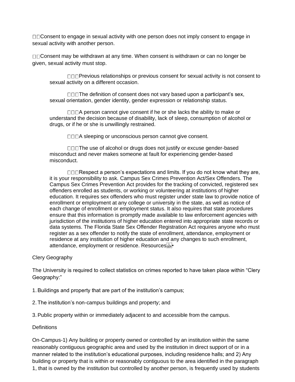□□Consent to engage in sexual activity with one person does not imply consent to engage in sexual activity with another person.

□□ Consent may be withdrawn at any time. When consent is withdrawn or can no longer be given, sexual activity must stop.

□□□Previous relationships or previous consent for sexual activity is not consent to sexual activity on a different occasion.

 $\Box$  $\Box$ The definition of consent does not vary based upon a participant's sex, sexual orientation, gender identity, gender expression or relationship status.

□□□A person cannot give consent if he or she lacks the ability to make or understand the decision because of disability, lack of sleep, consumption of alcohol or drugs, or if he or she is unwillingly restrained.

**ODDA** sleeping or unconscious person cannot give consent.

□□□The use of alcohol or drugs does not justify or excuse gender-based misconduct and never makes someone at fault for experiencing gender-based misconduct.

□□□Respect a person's expectations and limits. If you do not know what they are, it is your responsibility to ask. Campus Sex Crimes Prevention Act/Sex Offenders. The Campus Sex Crimes Prevention Act provides for the tracking of convicted, registered sex offenders enrolled as students, or working or volunteering at institutions of higher education. It requires sex offenders who must register under state law to provide notice of enrollment or employment at any college or university in the state, as well as notice of each change of enrollment or employment status. It also requires that state procedures ensure that this information is promptly made available to law enforcement agencies with jurisdiction of the institutions of higher education entered into appropriate state records or data systems. The Florida State Sex Offender Registration Act requires anyone who must register as a sex offender to notify the state of enrollment, attendance, employment or residence at any institution of higher education and any changes to such enrollment, attendance, employment or residence. Resources

#### Clery Geography

The University is required to collect statistics on crimes reported to have taken place within "Clery Geography:"

- 1.Buildings and property that are part of the institution's campus;
- 2. The institution's non-campus buildings and property; and
- 3.Public property within or immediately adjacent to and accessible from the campus.

#### **Definitions**

On-Campus-1) Any building or property owned or controlled by an institution within the same reasonably contiguous geographic area and used by the institution in direct support of or in a manner related to the institution's educational purposes, including residence halls; and 2) Any building or property that is within or reasonably contiguous to the area identified in the paragraph 1, that is owned by the institution but controlled by another person, is frequently used by students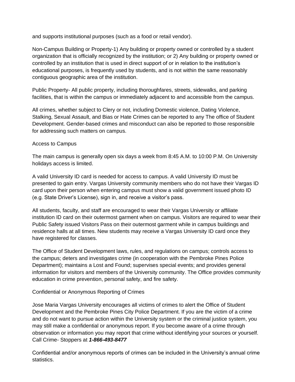and supports institutional purposes (such as a food or retail vendor).

Non-Campus Building or Property-1) Any building or property owned or controlled by a student organization that is officially recognized by the institution; or 2) Any building or property owned or controlled by an institution that is used in direct support of or in relation to the institution's educational purposes, is frequently used by students, and is not within the same reasonably contiguous geographic area of the institution.

Public Property- All public property, including thoroughfares, streets, sidewalks, and parking facilities, that is within the campus or immediately adjacent to and accessible from the campus.

All crimes, whether subject to Clery or not, including Domestic violence, Dating Violence, Stalking, Sexual Assault, and Bias or Hate Crimes can be reported to any The office of Student Development. Gender-based crimes and misconduct can also be reported to those responsible for addressing such matters on campus.

## Access to Campus

The main campus is generally open six days a week from 8:45 A.M. to 10:00 P.M. On University holidays access is limited.

A valid University ID card is needed for access to campus. A valid University ID must be presented to gain entry. Vargas University community members who do not have their Vargas ID card upon their person when entering campus must show a valid government issued photo ID (e.g. State Driver's License), sign in, and receive a visitor's pass.

All students, faculty, and staff are encouraged to wear their Vargas University or affiliate institution ID card on their outermost garment when on campus. Visitors are required to wear their Public Safety issued Visitors Pass on their outermost garment while in campus buildings and residence halls at all times. New students may receive a Vargas University ID card once they have registered for classes.

The Office of Student Development laws, rules, and regulations on campus; controls access to the campus; deters and investigates crime (in cooperation with the Pembroke Pines Police Department); maintains a Lost and Found; supervises special events; and provides general information for visitors and members of the University community. The Office provides community education in crime prevention, personal safety, and fire safety.

## Confidential or Anonymous Reporting of Crimes

Jose Maria Vargas University encourages all victims of crimes to alert the Office of Student Development and the Pembroke Pines City Police Department. If you are the victim of a crime and do not want to pursue action within the University system or the criminal justice system, you may still make a confidential or anonymous report. If you become aware of a crime through observation or information you may report that crime without identifying your sources or yourself. Call Crime- Stoppers at *1-866-493-8477*

Confidential and/or anonymous reports of crimes can be included in the University's annual crime statistics.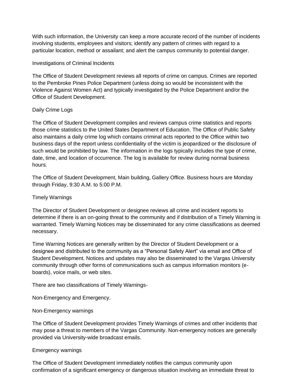With such information, the University can keep a more accurate record of the number of incidents involving students, employees and visitors; identify any pattern of crimes with regard to a particular location, method or assailant; and alert the campus community to potential danger.

## Investigations of Criminal Incidents

The Office of Student Development reviews all reports of crime on campus. Crimes are reported to the Pembroke Pines Police Department (unless doing so would be inconsistent with the Violence Against Women Act) and typically investigated by the Police Department and/or the Office of Student Development.

## Daily Crime Logs

The Office of Student Development compiles and reviews campus crime statistics and reports those crime statistics to the United States Department of Education. The Office of Public Safety also maintains a daily crime log which contains criminal acts reported to the Office within two business days of the report unless confidentiality of the victim is jeopardized or the disclosure of such would be prohibited by law. The information in the logs typically includes the type of crime, date, time, and location of occurrence. The log is available for review during normal business hours.

The Office of Student Development, Main building, Gallery Office. Business hours are Monday through Friday, 9:30 A.M. to 5:00 P.M.

## Timely Warnings

The Director of Student Development or designee reviews all crime and incident reports to determine if there is an on-going threat to the community and if distribution of a Timely Warning is warranted. Timely Warning Notices may be disseminated for any crime classifications as deemed necessary.

Time Warning Notices are generally written by the Director of Student Development or a designee and distributed to the community as a "Personal Safety Alert" via email and Office of Student Development. Notices and updates may also be disseminated to the Vargas University community through other forms of communications such as campus information monitors (eboards), voice mails, or web sites.

There are two classifications of Timely Warnings-

Non-Emergency and Emergency.

#### Non-Emergency warnings

The Office of Student Development provides Timely Warnings of crimes and other incidents that may pose a threat to members of the Vargas Community. Non-emergency notices are generally provided via University-wide broadcast emails.

## Emergency warnings

The Office of Student Development immediately notifies the campus community upon confirmation of a significant emergency or dangerous situation involving an immediate threat to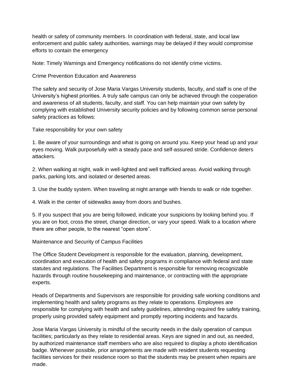health or safety of community members. In coordination with federal, state, and local law enforcement and public safety authorities, warnings may be delayed if they would compromise efforts to contain the emergency

Note: Timely Warnings and Emergency notifications do not identify crime victims.

Crime Prevention Education and Awareness

The safety and security of Jose Maria Vargas University students, faculty, and staff is one of the University's highest priorities. A truly safe campus can only be achieved through the cooperation and awareness of all students, faculty, and staff. You can help maintain your own safety by complying with established University security policies and by following common sense personal safety practices as follows:

Take responsibility for your own safety

1. Be aware of your surroundings and what is going on around you. Keep your head up and your eyes moving. Walk purposefully with a steady pace and self-assured stride. Confidence deters attackers.

2. When walking at night, walk in well-lighted and well trafficked areas. Avoid walking through parks, parking lots, and isolated or deserted areas.

3. Use the buddy system. When traveling at night arrange with friends to walk or ride together.

4. Walk in the center of sidewalks away from doors and bushes.

5. If you suspect that you are being followed, indicate your suspicions by looking behind you. If you are on foot, cross the street, change direction, or vary your speed. Walk to a location where there are other people, to the nearest "open store".

Maintenance and Security of Campus Facilities

The Office Student Development is responsible for the evaluation, planning, development, coordination and execution of health and safety programs in compliance with federal and state statutes and regulations. The Facilities Department is responsible for removing recognizable hazards through routine housekeeping and maintenance, or contracting with the appropriate experts.

Heads of Departments and Supervisors are responsible for providing safe working conditions and implementing health and safety programs as they relate to operations. Employees are responsible for complying with health and safety guidelines, attending required fire safety training, properly using provided safety equipment and promptly reporting incidents and hazards.

Jose Maria Vargas University is mindful of the security needs in the daily operation of campus facilities; particularly as they relate to residential areas. Keys are signed in and out, as needed, by authorized maintenance staff members who are also required to display a photo identification badge. Whenever possible, prior arrangements are made with resident students requesting facilities services for their residence room so that the students may be present when repairs are made.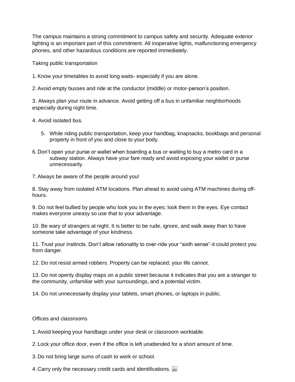The campus maintains a strong commitment to campus safety and security. Adequate exterior lighting is an important part of this commitment. All inoperative lights, malfunctioning emergency phones, and other hazardous conditions are reported immediately.

Taking public transportation

1.Know your timetables to avoid long waits- especially if you are alone.

2.Avoid empty busses and ride at the conductor (middle) or motor-person's position.

3. Always plan your route in advance. Avoid getting off a bus in unfamiliar neighborhoods especially during night time.

4. Avoid isolated bus.

- 5. While riding public transportation, keep your handbag, knapsacks, bookbags and personal property in front of you and close to your body.
- 6. Don't open your purse or wallet when boarding a bus or waiting to buy a metro card in a subway station. Always have your fare ready and avoid exposing your wallet or purse unnecessarily.

7.Always be aware of the people around you!

8. Stay away from isolated ATM locations. Plan ahead to avoid using ATM machines during offhours.

9. Do not feel bullied by people who look you in the eyes; look them in the eyes. Eye contact makes everyone uneasy so use that to your advantage.

10. Be wary of strangers at night. It is better to be rude, ignore, and walk away than to have someone take advantage of your kindness.

11. Trust your instincts. Don't allow rationality to over-ride your "sixth sense"-it could protect you from danger.

12. Do not resist armed robbers. Property can be replaced; your life cannot.

13. Do not openly display maps on a public street because it indicates that you are a stranger to the community, unfamiliar with your surroundings, and a potential victim.

14. Do not unnecessarily display your tablets, smart phones, or laptops in public.

#### Offices and classrooms

- 1.Avoid keeping your handbags under your desk or classroom worktable.
- 2. Lock your office door, even if the office is left unattended for a short amount of time.
- 3. Do not bring large sums of cash to work or school.
- 4. Carry only the necessary credit cards and identifications. <sup>[11]</sup>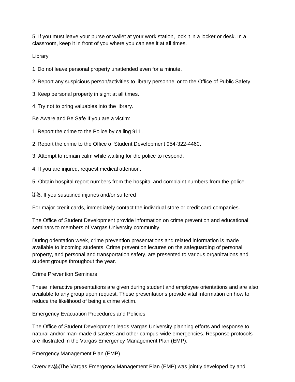5. If you must leave your purse or wallet at your work station, lock it in a locker or desk. In a classroom, keep it in front of you where you can see it at all times.

Library

- 1. Do not leave personal property unattended even for a minute.
- 2. Report any suspicious person/activities to library personnel or to the Office of Public Safety.
- 3.Keep personal property in sight at all times.
- 4. Try not to bring valuables into the library.
- Be Aware and Be Safe If you are a victim:
- 1. Report the crime to the Police by calling 911.
- 2. Report the crime to the Office of Student Development 954-322-4460.
- 3. Attempt to remain calm while waiting for the police to respond.
- 4. If you are injured, request medical attention.
- 5. Obtain hospital report numbers from the hospital and complaint numbers from the police.
- 6. If you sustained injuries and/or suffered

For major credit cards, immediately contact the individual store or credit card companies.

The Office of Student Development provide information on crime prevention and educational seminars to members of Vargas University community.

During orientation week, crime prevention presentations and related information is made available to incoming students. Crime prevention lectures on the safeguarding of personal property, and personal and transportation safety, are presented to various organizations and student groups throughout the year.

#### Crime Prevention Seminars

These interactive presentations are given during student and employee orientations and are also available to any group upon request. These presentations provide vital information on how to reduce the likelihood of being a crime victim.

Emergency Evacuation Procedures and Policies

The Office of Student Development leads Vargas University planning efforts and response to natural and/or man-made disasters and other campus-wide emergencies. Response protocols are illustrated in the Vargas Emergency Management Plan (EMP).

Emergency Management Plan (EMP)

Overview The Vargas Emergency Management Plan (EMP) was jointly developed by and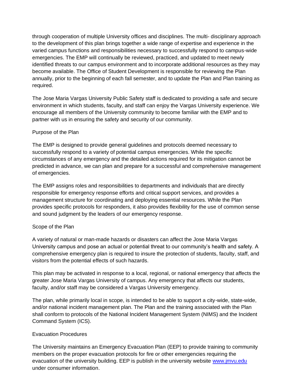through cooperation of multiple University offices and disciplines. The multi- disciplinary approach to the development of this plan brings together a wide range of expertise and experience in the varied campus functions and responsibilities necessary to successfully respond to campus-wide emergencies. The EMP will continually be reviewed, practiced, and updated to meet newly identified threats to our campus environment and to incorporate additional resources as they may become available. The Office of Student Development is responsible for reviewing the Plan annually, prior to the beginning of each fall semester, and to update the Plan and Plan training as required.

The Jose Maria Vargas University Public Safety staff is dedicated to providing a safe and secure environment in which students, faculty, and staff can enjoy the Vargas University experience. We encourage all members of the University community to become familiar with the EMP and to partner with us in ensuring the safety and security of our community.

## Purpose of the Plan

The EMP is designed to provide general guidelines and protocols deemed necessary to successfully respond to a variety of potential campus emergencies. While the specific circumstances of any emergency and the detailed actions required for its mitigation cannot be predicted in advance, we can plan and prepare for a successful and comprehensive management of emergencies.

The EMP assigns roles and responsibilities to departments and individuals that are directly responsible for emergency response efforts and critical support services, and provides a management structure for coordinating and deploying essential resources. While the Plan provides specific protocols for responders, it also provides flexibility for the use of common sense and sound judgment by the leaders of our emergency response.

## Scope of the Plan

A variety of natural or man-made hazards or disasters can affect the Jose Maria Vargas University campus and pose an actual or potential threat to our community's health and safety. A comprehensive emergency plan is required to insure the protection of students, faculty, staff, and visitors from the potential effects of such hazards.

This plan may be activated in response to a local, regional, or national emergency that affects the greater Jose Maria Vargas University of campus. Any emergency that affects our students, faculty, and/or staff may be considered a Vargas University emergency.

The plan, while primarily local in scope, is intended to be able to support a city-wide, state-wide, and/or national incident management plan. The Plan and the training associated with the Plan shall conform to protocols of the National Incident Management System (NIMS) and the Incident Command System (ICS).

## Evacuation Procedures

The University maintains an Emergency Evacuation Plan (EEP) to provide training to community members on the proper evacuation protocols for fire or other emergencies requiring the evacuation of the university building. EEP is publish in the university website [www.jmvu.edu](http://www.jmvu.edu/) under consumer information.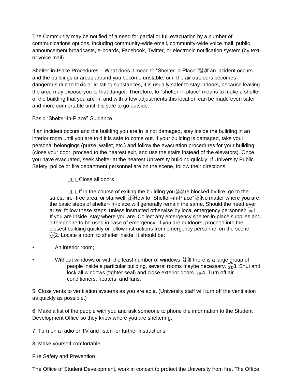The Community may be notified of a need for partial or full evacuation by a number of communications options, including community-wide email, community-wide voice mail, public announcement broadcasts, e-boards, Facebook, Twitter, or electronic notification system (by text or voice mail).

Shelter-in-Place Procedures – What does it mean to "Shelter-in-Place"? If an incident occurs and the buildings or areas around you become unstable, or if the air outdoors becomes dangerous due to toxic or irritating substances, it is usually safer to stay indoors, because leaving the area may expose you to that danger. Therefore, to "shelter-in-place" means to make a shelter of the building that you are in, and with a few adjustments this location can be made even safer and more comfortable until it is safe to go outside.

## Basic "Shelter-in-Place" Guidance

If an incident occurs and the building you are in is not damaged, stay inside the building in an interior room until you are told it is safe to come out. If your building is damaged, take your personal belongings (purse, wallet, etc.) and follow the evacuation procedures for your building (close your door, proceed to the nearest exit, and use the stairs instead of the elevators). Once you have evacuated, seek shelter at the nearest University building quickly. If University Public Safety, police or fire department personnel are on the scene, follow their directions.

## $\square \square \square$ Close all doors

 $\Box$  $\Box$  in the course of exiting the building you  $\overline{\mathbb{R}}$  are blocked by fire, go to the safest fire- free area, or stairwell. Fight ow to "Shelter–in-Place" steriNo matter where you are, the basic steps of shelter- in-place will generally remain the same. Should the need ever arise; follow these steps, unless instructed otherwise by local emergency personnel:  $\frac{173}{36}$ . If you are inside, stay where you are. Collect any emergency shelter-in-place supplies and a telephone to be used in case of emergency. If you are outdoors, proceed into the closest building quickly or follow instructions from emergency personnel on the scene.  $\frac{1}{2}$  2. Locate a room to shelter inside. It should be:

- An interior room;
- Without windows or with the least number of windows.  $\frac{1}{2}$  if there is a large group of people inside a particular building, several rooms maybe necessary. <sup>[17]</sup> Shut and lock all windows (tighter seal) and close exterior doors. **Figgs** 4. Turn off air conditioners, heaters, and fans.

5. Close vents to ventilation systems as you are able. (University staff will turn off the ventilation as quickly as possible.)

6. Make a list of the people with you and ask someone to phone the information to the Student Development Office so they know where you are sheltering.

7. Turn on a radio or TV and listen for further instructions.

8. Make yourself comfortable.

Fire Safety and Prevention

The Office of Student Development, work in concert to protect the University from fire. The Office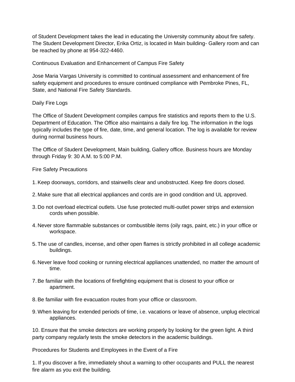of Student Development takes the lead in educating the University community about fire safety. The Student Development Director, Erika Ortiz, is located in Main building- Gallery room and can be reached by phone at 954-322-4460.

Continuous Evaluation and Enhancement of Campus Fire Safety

Jose Maria Vargas University is committed to continual assessment and enhancement of fire safety equipment and procedures to ensure continued compliance with Pembroke Pines, FL, State, and National Fire Safety Standards.

## Daily Fire Logs

The Office of Student Development compiles campus fire statistics and reports them to the U.S. Department of Education. The Office also maintains a daily fire log. The information in the logs typically includes the type of fire, date, time, and general location. The log is available for review during normal business hours.

The Office of Student Development, Main building, Gallery office. Business hours are Monday through Friday 9: 30 A.M. to 5:00 P.M.

Fire Safety Precautions

- 1.Keep doorways, corridors, and stairwells clear and unobstructed. Keep fire doors closed.
- 2. Make sure that all electrical appliances and cords are in good condition and UL approved.
- 3. Do not overload electrical outlets. Use fuse protected multi-outlet power strips and extension cords when possible.
- 4. Never store flammable substances or combustible items (oily rags, paint, etc.) in your office or workspace.
- 5. The use of candles, incense, and other open flames is strictly prohibited in all college academic buildings.
- 6. Never leave food cooking or running electrical appliances unattended, no matter the amount of time.
- 7.Be familiar with the locations of firefighting equipment that is closest to your office or apartment.
- 8.Be familiar with fire evacuation routes from your office or classroom.
- 9.When leaving for extended periods of time, i.e. vacations or leave of absence, unplug electrical appliances.

10. Ensure that the smoke detectors are working properly by looking for the green light. A third party company regularly tests the smoke detectors in the academic buildings.

Procedures for Students and Employees in the Event of a Fire

1. If you discover a fire, immediately shout a warning to other occupants and PULL the nearest fire alarm as you exit the building.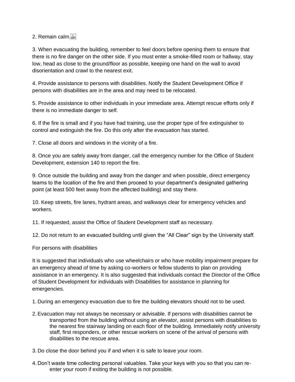## 2. Remain calm.

3. When evacuating the building, remember to feel doors before opening them to ensure that there is no fire danger on the other side. If you must enter a smoke-filled room or hallway, stay low, head as close to the ground/floor as possible, keeping one hand on the wall to avoid disorientation and crawl to the nearest exit.

4. Provide assistance to persons with disabilities. Notify the Student Development Office if persons with disabilities are in the area and may need to be relocated.

5. Provide assistance to other individuals in your immediate area. Attempt rescue efforts only if there is no immediate danger to self.

6. If the fire is small and if you have had training, use the proper type of fire extinguisher to control and extinguish the fire. Do this only after the evacuation has started.

7. Close all doors and windows in the vicinity of a fire.

8. Once you are safely away from danger, call the emergency number for the Office of Student Development, extension 140 to report the fire.

9. Once outside the building and away from the danger and when possible, direct emergency teams to the location of the fire and then proceed to your department's designated gathering point (at least 500 feet away from the affected building) and stay there.

10. Keep streets, fire lanes, hydrant areas, and walkways clear for emergency vehicles and workers.

11. If requested, assist the Office of Student Development staff as necessary.

12. Do not return to an evacuated building until given the "All Clear" sign by the University staff.

For persons with disabilities

It is suggested that individuals who use wheelchairs or who have mobility impairment prepare for an emergency ahead of time by asking co-workers or fellow students to plan on providing assistance in an emergency. It is also suggested that individuals contact the Director of the Office of Student Development for individuals with Disabilities for assistance in planning for emergencies.

- 1. During an emergency evacuation due to fire the building elevators should not to be used.
- 2.Evacuation may not always be necessary or advisable. If persons with disabilities cannot be transported from the building without using an elevator, assist persons with disabilities to the nearest fire stairway landing on each floor of the building. Immediately notify university staff, first responders, or other rescue workers on scene of the arrival of persons with disabilities to the rescue area.
- 3. Do close the door behind you if and when it is safe to leave your room.
- 4. Don't waste time collecting personal valuables. Take your keys with you so that you can reenter your room if exiting the building is not possible.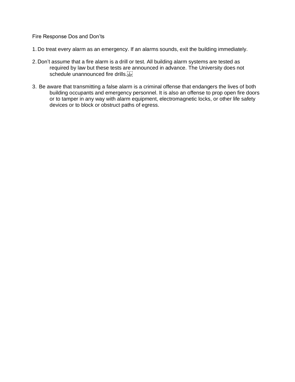Fire Response Dos and Don'ts

- 1. Do treat every alarm as an emergency. If an alarms sounds, exit the building immediately.
- 2. Don't assume that a fire alarm is a drill or test. All building alarm systems are tested as required by law but these tests are announced in advance. The University does not schedule unannounced fire drills.
- 3. Be aware that transmitting a false alarm is a criminal offense that endangers the lives of both building occupants and emergency personnel. It is also an offense to prop open fire doors or to tamper in any way with alarm equipment, electromagnetic locks, or other life safety devices or to block or obstruct paths of egress.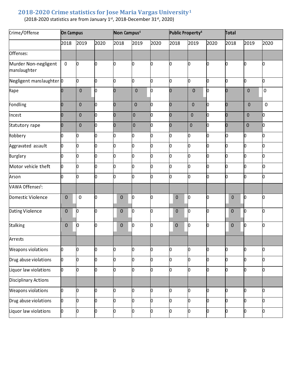# **2018-2020 Crime statistics for Jose Maria Vargas University<sup>1</sup>**

(2018-2020 statistics are from January  $1<sup>st</sup>$ , 2018-December 31 $<sup>st</sup>$ , 2020)</sup>

| Crime/Offense                        | <b>On Campus</b> |             |      | Non Campus <sup>4</sup> |             |      | Public Property <sup>4</sup> |             |                | Total       |             |                  |
|--------------------------------------|------------------|-------------|------|-------------------------|-------------|------|------------------------------|-------------|----------------|-------------|-------------|------------------|
|                                      | 2018             | 2019        | 2020 | 2018                    | 2019        | 2020 | 2018                         | 2019        | 2020           | 2018        | 2019        | 2020             |
| Offenses:                            |                  |             |      |                         |             |      |                              |             |                |             |             |                  |
| Murder Non-negligent<br>manslaughter | $\pmb{0}$        | O           | 0    | O                       | 0           | 0    | 0                            | О           | 0              | 0           | Ю           | О                |
| Negligent manslaughter 0             |                  | o           | o    | o                       | o           | 0    | O                            | O           | ю              | O           | o           | o                |
| Rape                                 | O                | $\mathbf 0$ | 0    | $\Omega$                | $\mathbf 0$ | b    | $\Omega$                     | $\mathbf 0$ | Ю              | n           | $\mathbf 0$ | $\mathbf 0$      |
| Fondling                             | 0                | $\mathbf 0$ | 0    | $\Omega$                | $\mathbf 0$ | Ю    | 0                            | $\pmb{0}$   | Iо             | 0           | $\mathbf 0$ | $\boldsymbol{0}$ |
| Incest                               | $\Omega$         | $\mathbf 0$ | 0    | $\Omega$                | $\mathbf 0$ | Ю    | 0                            | $\pmb{0}$   | Iо             | 0           | $\mathbf 0$ | lо               |
| Statutory rape                       | 0                | $\mathbf 0$ | 0    | $\Omega$                | $\mathbf 0$ | Ю    | $\Omega$                     | $\mathbf 0$ | Iо             | 0           | 0           | Ю                |
| Robbery                              | 0                | 0           | 0    | O.                      | 0           | O    | 0                            | 0           | ю              | О           | O           | O                |
| Aggravated assault                   | 0                | 0           | 0    | О                       | 0           | 0    | 0                            | 0           | Ю              | O           | О           | O                |
| Burglary                             | O                | О           | 0    | O                       | 0           | 0    | 0                            | 0           | 0              | O           | o           | O                |
| Motor vehicle theft                  | 0                | Ю           | 0    | О                       | 0           | 0    | 0                            | О           | $\overline{0}$ | 0           | ю           | O                |
| Arson                                | 0                | Ŋ           | 0    | O                       | 0           | O    | 0                            | 0           | Ю              | O           | ю           | o                |
| VAWA Offenses <sup>5</sup> :         |                  |             |      |                         |             |      |                              |             |                |             |             |                  |
| Domestic Violence                    | $\pmb{0}$        | $\mathbf 0$ | 0    | $\mathbf 0$             | O           | 0    | 0                            | 0           | 10             | $\bf 0$     | 0           | 0                |
| Dating Violence                      | $\pmb{0}$        | 0           | O    | $\pmb{0}$               | 0           | 0    | $\pmb{0}$                    | 0           | 0              | $\mathbf 0$ | o           | ю                |
| Stalking                             | $\pmb{0}$        | О           | 0    | $\pmb{0}$               | 0           | Ю    | $\pmb{0}$                    | О           | Ю              | $\pmb{0}$   | O           | o                |
| Arrests                              |                  |             |      |                         |             |      |                              |             |                |             |             |                  |
| Weapons violations                   | 0                | 0           | 0    | 0                       | 0           | 0    | 0                            | 0           | Ю              | 0           | 0           | 0                |
| Drug abuse violations                | 0                | 0           | 0    | o                       | 0           | 0    | O                            | 0           | lo             | O.          | o           | O                |
| Liquor law violations                | 0                | 0           | 0    | 0                       | 0           | 0    | 0                            | 0           | Ю              | O           | O           | О                |
| Disciplinary Actions                 |                  |             |      |                         |             |      |                              |             |                |             |             |                  |
| Weapons violations                   | 0                | 0           | 0    | О                       | 0           | 0    | 0                            | 0           | 0              | O           | 0           | О                |
| Drug abuse violations                | 0                | 0           | 0    | o                       | 0           | 0    | 0                            | 0           | ю              | O           | O           | o                |
| Liquor law violations                | O                | 0           | 0    | О                       | 0           | 0    | 0                            | 0           | O              | O           | lo          | 0                |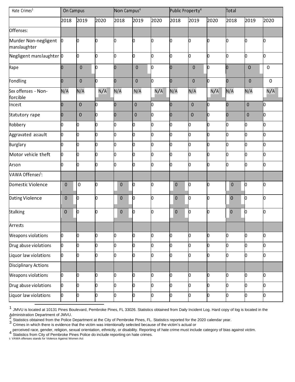| Hate Crimes <sup>3</sup>               | On Campus      |              |      | Non Campus <sup>4</sup> |  |             |      | Public Property <sup>4</sup> |             |      | Total          |             |           |
|----------------------------------------|----------------|--------------|------|-------------------------|--|-------------|------|------------------------------|-------------|------|----------------|-------------|-----------|
|                                        | 2018           | 2019         | 2020 | 2018                    |  | 2019        | 2020 | 2018                         | 2019        | 2020 | 2018           | 2019        | 2020      |
| Offenses:                              |                |              |      |                         |  |             |      |                              |             |      |                |             |           |
| Murder Non-negligent 0<br>manslaughter |                | 0            | n    | n                       |  | n           | 0    | በ                            | 0           | 0    | Ŋ              | O.          | 0         |
| Negligent manslaughter 0               |                | O            | 0    | O                       |  | 0           | 0    | 0                            | o           | О    | b              | 0           | O         |
| Rape                                   | 0              | $\mathbf 0$  | 0    | n                       |  | $\mathbf 0$ | 0    | 0                            | $\mathbf 0$ | o    | 0              | $\mathbf 0$ | 0         |
| Fondling                               | O              | $\mathbf{0}$ | 0    | n                       |  | $\mathbf 0$ | 0    | $\Omega$                     | $\pmb{0}$   | lо   | $\Omega$       | $\mathbf 0$ | $\pmb{0}$ |
| Sex offenses - Non-<br>forcible        | N/A            | N/A          | N/A  | N/A                     |  | N/A         | N/A  | N/A                          | N/A         | N/A  | N/A            | N/A         | N/A       |
| Incest                                 | $\overline{0}$ | $\mathbf 0$  | U    | O                       |  | $\pmb{0}$   | 0    | 0                            | $\pmb{0}$   | Ю    | O              | $\mathbf 0$ | IO.       |
| Statutory rape                         | O              | $\mathbf 0$  | 0    | O                       |  | $\pmb{0}$   | 0    | $\Omega$                     | $\pmb{0}$   | Ю    | O              | $\mathbf 0$ | lo.       |
| Robbery                                | Ю              | 0            | U    | n                       |  | O           | 0    | n                            | 0           | Ю    | n              | n           | n         |
| Aggravated assault                     | o              | o            | O.   | n                       |  | 0           | Ю    | 0                            | 0           | O    | O              | O.          | 0         |
| <b>Burglary</b>                        | o              | 0            | 0    | n                       |  | O           | 0    | n                            | 0           | O    | n              | n           | 0         |
| Motor vehicle theft                    | o              | O            | 0    | O                       |  | 0           | 0    | 0                            | 0           | o    | n              | n           | O         |
| Arson                                  | lo             | o            | 0    | 0                       |  | O           | 0    | n                            | 0           | o    | h              | n           | 0         |
| VAWA Offenses <sup>5</sup> :           |                |              |      |                         |  |             |      |                              |             |      |                |             |           |
| Domestic Violence                      | $\mathbf 0$    | 0            | 0    | $\mathbf 0$             |  | 0           | 0    | $\bf 0$                      | 0           | Ю    | 0              | 0           | 0         |
| Dating Violence                        | $\mathbf 0$    | 0            | n    | $\pmb{0}$               |  | 0           | O    | $\bf 0$                      | 0           | 0    | $\overline{0}$ | 0           | 0         |
| Stalking                               | $\mathbf 0$    | 0            | U    | $\pmb{0}$               |  | O           | 0    | $\pmb{0}$                    | 0           | Ю    | $\mathbf 0$    | 0           | O         |
| Arrests                                |                |              |      |                         |  |             |      |                              |             |      |                |             |           |
| Weapons violations                     | O              | 0            | 0    | 0                       |  | 0           | 0    | 0                            | 0           | О    | 0              | n           | 0         |
| Drug abuse violations                  | o              | О            | 0    | 0                       |  | 0           | 0    | 0                            | 0           | 0    | Ŋ              | O           | 0         |
| Liquor law violations                  | Ю              | 0            | O.   | n                       |  | O           | 0    | U                            | 0           | 0    | n              | n           | 0         |
| Disciplinary Actions                   |                |              |      |                         |  |             |      |                              |             |      |                |             |           |
| Weapons violations                     | ю              | 0            | O.   | O.                      |  | 0           | 0    | 0                            | 0           | 0    | 0              | 0           | 0         |
| Drug abuse violations                  | O              | 0            | n    | n                       |  | 0           | 0    | 0                            | O.          | 0    | n              | n           | 0         |
| Liquor law violations                  | 0              | O            | 0    | O                       |  | 0           | 0    | 0                            | 0           | O    | O.             | O           | 0         |

<sup>1</sup> JMVU is located at 10131 Pines Boulevard, Pembroke Pines, FL 33026. Statistics obtained from Daily Incident Log. Hard copy of log is located in the

Administration Department of JMVU.<br><sup>2</sup> Statistics obtained from the Police Department at the City of Pembroke Pines, FL. Statistics reported for the 2020 calendar year.<br><sup>3</sup> Crimes in which there is evidence that the victim

perceived race, gender, religion, sexual orientation, ethnicity, or disability. Reporting of hate crime must include category of bias against victim.<br>4 Ctotistics from City of Dambreks Dinas Pelice de include reporting an Statistics from City of Pembroke Pines Police do include reporting on hate crimes. 5 VAWA offenses stands for Violence Against Women Act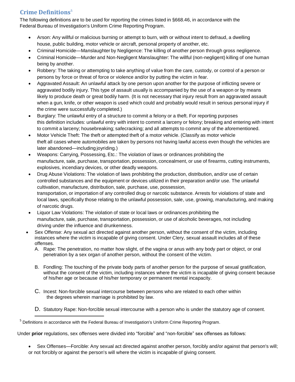# **Crime Definitions** 5

The following definitions are to be used for reporting the crimes listed in §668.46, in accordance with the Federal Bureau of Investigation's Uniform Crime Reporting Program.

- Arson: Any willful or malicious burning or attempt to burn, with or without intent to defraud, a dwelling house, public building, motor vehicle or aircraft, personal property of another, etc.
- Criminal Homicide—Manslaughterby Negligence: The killing of another person through gross negligence.
- Criminal Homicide—Murder and Non-Negligent Manslaughter: The willful (non-negligent) killing of one human being by another.
- Robbery: The taking or attempting to take anything of value from the care, custody, or control of a person or persons by force or threat of force or violence and/or by putting the victim in fear.
- Aggravated Assault: An unlawful attack by one person upon another for the purpose of inflicting severe or aggravated bodily injury. This type of assault usually is accompanied by the use of a weapon or by means likely to produce death or great bodily harm. (It is not necessary that injury result from an aggravated assault when a gun, knife, or other weapon is used which could and probably would result in serious personal injury if the crime were successfully completed.)
- Burglary: The unlawful entry of a structure to commit a felony or a theft. For reporting purposes this definition includes: unlawful entry with intent to commit a larceny or felony; breaking and entering with intent to commit a larceny; housebreaking; safecracking; and all attempts to commit any of the aforementioned.
- Motor Vehicle Theft: The theft or attempted theft of a motor vehicle. (Classify as motor vehicle theft all cases where automobiles are taken by persons not having lawful access even though the vehicles are later abandoned—including joyriding.)
- Weapons: Carrying, Possessing, Etc.: The violation of laws or ordinances prohibiting the manufacture, sale, purchase, transportation, possession, concealment, or use of firearms, cutting instruments, explosives, incendiary devices, or other deadly weapons.
- Drug Abuse Violations: The violation of laws prohibiting the production, distribution, and/or use of certain controlled substances and the equipment or devices utilized in their preparation and/or use. The unlawful cultivation, manufacture, distribution, sale, purchase, use, possession, transportation, or importation of any controlled drug or narcotic substance. Arrests for violations of state and local laws, specifically those relating to the unlawful possession, sale, use, growing, manufacturing, and making of narcotic drugs.
- Liquor Law Violations: The violation of state or local laws or ordinances prohibiting the manufacture, sale, purchase, transportation, possession, or use of alcoholic beverages, not including driving under the influence and drunkenness.
- Sex Offense: Any sexual act directed against another person, without the consent of the victim, including instances where the victim is incapable of giving consent. Under Clery, sexual assault includes all of these offenses.
	- A. Rape: The penetration, no matter how slight, of the vagina or anus with any body part or object, or oral penetration by a sex organ of another person, without the consent of the victim.
	- B. Fondling: The touching of the private body parts of another person for the purpose of sexual gratification, without the consent of the victim, including instances where the victim is incapable of giving consent because of his/her age or because of his/her temporary or permanent mental incapacity.
	- C. Incest: Non-forcible sexual intercourse between persons who are related to each other within the degrees wherein marriage is prohibited by law.
	- D. Statutory Rape: Non-forcible sexual intercourse with a person who is under the statutory age of consent.

Under **prior** regulations, sex offenses were divided into "forcible" and "non-forcible" sex offenses as follows:

• Sex Offenses—Forcible: Any sexual act directed against another person, forcibly and/or against that person's will; or not forcibly or against the person's will where the victim is incapable of giving consent.

<sup>&</sup>lt;sup>5</sup> Definitions in accordance with the Federal Bureau of Investigation's Uniform Crime Reporting Program.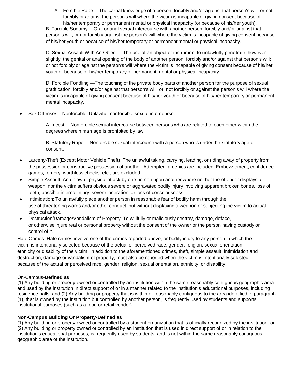A. Forcible Rape —The carnal knowledge of a person, forcibly and/or against that person's will; or not forcibly or against the person's will where the victim is incapable of giving consent because of his/her temporary or permanent mental or physical incapacity (or because of his/her youth).

B. Forcible Sodomy —Oral or anal sexual intercourse with another person, forcibly and/or against that person's will; or not forcibly against the person's will where the victim is incapable of giving consent because of his/her youth or because of his/her temporaryor permanent mental or physical incapacity.

C. Sexual Assault With An Object —The use of an object or instrument to unlawfully penetrate, however slightly, the genital or anal opening of the body of another person, forcibly and/or against that person's will; or not forcibly or against the person's will where the victim is incapable of giving consent because of his/her youth or because of his/her temporaryor permanent mental or physical incapacity.

D. Forcible Fondling —The touching of the private body parts of another person for the purpose of sexual gratification, forcibly and/or against that person's will; or, not forcibly or against the person's will where the victim is incapable of giving consent because of his/her youth or because of his/her temporaryor permanent mental incapacity.

Sex Offenses-Nonforcible: Unlawful, nonforcible sexual intercourse.

A. Incest —Nonforcible sexual intercourse between persons who are related to each other within the degrees wherein marriage is prohibited by law.

B. Statutory Rape —Nonforcible sexual intercourse with a person who is under the statutory age of consent.

- Larceny-Theft (Except Motor Vehicle Theft): The unlawful taking, carrying, leading, or riding away of property from the possession or constructive possession of another. Attempted larcenies are included. Embezzlement, confidence games, forgery, worthless checks, etc., are excluded.
- Simple Assault: An unlawful physical attack by one person upon another where neither the offender displays a weapon, nor the victim suffers obvious severe or aggravated bodily injury involving apparent broken bones, loss of teeth, possible internal injury, severe laceration, or loss of consciousness.
- Intimidation: To unlawfully place another person in reasonable fear of bodily harm through the use of threatening words and/or other conduct, but without displaying a weapon or subjecting the victim to actual physical attack.
- Destruction/Damage/Vandalism of Property: To willfully or maliciouslydestroy, damage, deface, or otherwise injure real or personal property without the consent of the owner or the person having custody or control of it.

Hate Crimes*:* Hate crimes involve one of the crimes reported above, or bodily injury to any person in which the victim is intentionally selected because of the actual or perceived race, gender, religion, sexual orientation, ethnicity or disability of the victim. In addition to the aforementioned crimes, theft, simple assault, intimidation and destruction, damage or vandalism of property, must also be reported when the victim is intentionally selected because of the actual or perceived race, gender, religion, sexual orientation, ethnicity, or disability.

## On-Campus-**Defined as**

(1) Any building or property owned or controlled by an institution within the same reasonably contiguous geographic area and used by the institution in direct support of or in a manner related to the institution's educational purposes, including residence halls; and (2) Any building or property that is within or reasonably contiguous to the area identified in paragraph (1), that is owned by the institution but controlled by another person, is frequently used by students and supports institutional purposes (such as a food or retail vendor).

#### **Non-Campus Building Or Property-Defined as**

(1) Any building or property owned or controlled by a student organization that is officially recognized by the institution; or (2) Any building or property owned or controlled by an institution that is used in direct support of or in relation to the institution's educational purposes, is frequently used by students, and is not within the same reasonably contiguous geographic area of the institution.